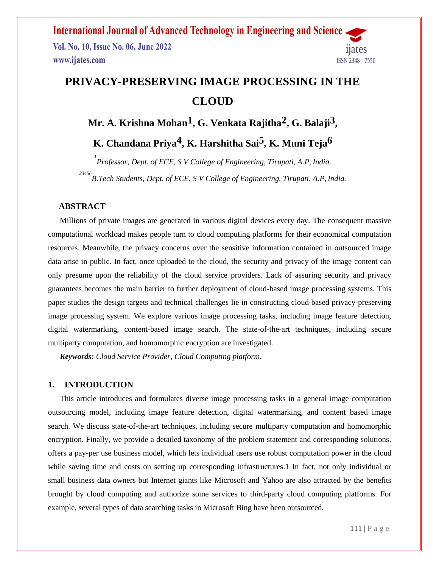

## **PRIVACY-PRESERVING IMAGE PROCESSING IN THE CLOUD**

**Mr. A. Krishna Mohan1, G. Venkata Rajitha2, G. Balaji3 ,**

**K. Chandana Priya4, K. Harshitha Sai5, K. Muni Teja6**

*1 Professor, Dept. of ECE, S V College of Engineering, Tirupati, A.P, India. 23456 B.Tech Students, Dept. of ECE, S V College of Engineering, Tirupati, A.P, India.*

### **ABSTRACT**

 Millions of private images are generated in various digital devices every day. The consequent massive computational workload makes people turn to cloud computing platforms for their economical computation resources. Meanwhile, the privacy concerns over the sensitive information contained in outsourced image data arise in public. In fact, once uploaded to the cloud, the security and privacy of the image content can only presume upon the reliability of the cloud service providers. Lack of assuring security and privacy guarantees becomes the main barrier to further deployment of cloud-based image processing systems. This paper studies the design targets and technical challenges lie in constructing cloud-based privacy-preserving image processing system. We explore various image processing tasks, including image feature detection, digital watermarking, content-based image search. The state-of-the-art techniques, including secure multiparty computation, and homomorphic encryption are investigated.

 *Keywords: Cloud Service Provider, Cloud Computing platform.*

### **1. INTRODUCTION**

 This article introduces and formulates diverse image processing tasks in a general image computation outsourcing model, including image feature detection, digital watermarking, and content based image search. We discuss state-of-the-art techniques, including secure multiparty computation and homomorphic encryption. Finally, we provide a detailed taxonomy of the problem statement and corresponding solutions. offers a pay-per use business model, which lets individual users use robust computation power in the cloud while saving time and costs on setting up corresponding infrastructures. I In fact, not only individual or small business data owners but Internet giants like Microsoft and Yahoo are also attracted by the benefits brought by cloud computing and authorize some services to third-party cloud computing platforms. For example, several types of data searching tasks in Microsoft Bing have been outsourced.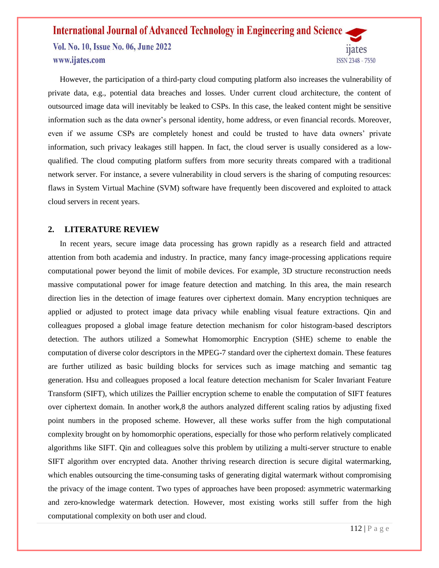Vol. No. 10, Issue No. 06, June 2022 www.ijates.com

 However, the participation of a third-party cloud computing platform also increases the vulnerability of private data, e.g., potential data breaches and losses. Under current cloud architecture, the content of outsourced image data will inevitably be leaked to CSPs. In this case, the leaked content might be sensitive information such as the data owner's personal identity, home address, or even financial records. Moreover, even if we assume CSPs are completely honest and could be trusted to have data owners' private information, such privacy leakages still happen. In fact, the cloud server is usually considered as a lowqualified. The cloud computing platform suffers from more security threats compared with a traditional network server. For instance, a severe vulnerability in cloud servers is the sharing of computing resources: flaws in System Virtual Machine (SVM) software have frequently been discovered and exploited to attack cloud servers in recent years.

### **2. LITERATURE REVIEW**

 In recent years, secure image data processing has grown rapidly as a research field and attracted attention from both academia and industry. In practice, many fancy image-processing applications require computational power beyond the limit of mobile devices. For example, 3D structure reconstruction needs massive computational power for image feature detection and matching. In this area, the main research direction lies in the detection of image features over ciphertext domain. Many encryption techniques are applied or adjusted to protect image data privacy while enabling visual feature extractions. Qin and colleagues proposed a global image feature detection mechanism for color histogram-based descriptors detection. The authors utilized a Somewhat Homomorphic Encryption (SHE) scheme to enable the computation of diverse color descriptors in the MPEG-7 standard over the ciphertext domain. These features are further utilized as basic building blocks for services such as image matching and semantic tag generation. Hsu and colleagues proposed a local feature detection mechanism for Scaler Invariant Feature Transform (SIFT), which utilizes the Paillier encryption scheme to enable the computation of SIFT features over ciphertext domain. In another work,8 the authors analyzed different scaling ratios by adjusting fixed point numbers in the proposed scheme. However, all these works suffer from the high computational complexity brought on by homomorphic operations, especially for those who perform relatively complicated algorithms like SIFT. Qin and colleagues solve this problem by utilizing a multi-server structure to enable SIFT algorithm over encrypted data. Another thriving research direction is secure digital watermarking, which enables outsourcing the time-consuming tasks of generating digital watermark without compromising the privacy of the image content. Two types of approaches have been proposed: asymmetric watermarking and zero-knowledge watermark detection. However, most existing works still suffer from the high computational complexity on both user and cloud.

11<sub>ates</sub>

ISSN 2348 - 7550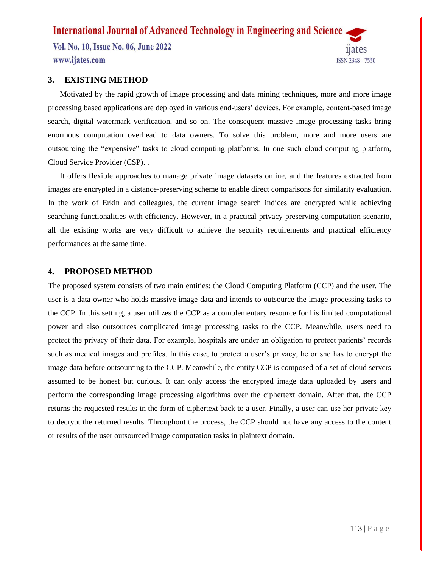Vol. No. 10, Issue No. 06, June 2022 www.ijates.com



### **3. EXISTING METHOD**

 Motivated by the rapid growth of image processing and data mining techniques, more and more image processing based applications are deployed in various end-users' devices. For example, content-based image search, digital watermark verification, and so on. The consequent massive image processing tasks bring enormous computation overhead to data owners. To solve this problem, more and more users are outsourcing the "expensive" tasks to cloud computing platforms. In one such cloud computing platform, Cloud Service Provider (CSP). .

 It offers flexible approaches to manage private image datasets online, and the features extracted from images are encrypted in a distance-preserving scheme to enable direct comparisons for similarity evaluation. In the work of Erkin and colleagues, the current image search indices are encrypted while achieving searching functionalities with efficiency. However, in a practical privacy-preserving computation scenario, all the existing works are very difficult to achieve the security requirements and practical efficiency performances at the same time.

### **4. PROPOSED METHOD**

The proposed system consists of two main entities: the Cloud Computing Platform (CCP) and the user. The user is a data owner who holds massive image data and intends to outsource the image processing tasks to the CCP. In this setting, a user utilizes the CCP as a complementary resource for his limited computational power and also outsources complicated image processing tasks to the CCP. Meanwhile, users need to protect the privacy of their data. For example, hospitals are under an obligation to protect patients' records such as medical images and profiles. In this case, to protect a user's privacy, he or she has to encrypt the image data before outsourcing to the CCP. Meanwhile, the entity CCP is composed of a set of cloud servers assumed to be honest but curious. It can only access the encrypted image data uploaded by users and perform the corresponding image processing algorithms over the ciphertext domain. After that, the CCP returns the requested results in the form of ciphertext back to a user. Finally, a user can use her private key to decrypt the returned results. Throughout the process, the CCP should not have any access to the content or results of the user outsourced image computation tasks in plaintext domain.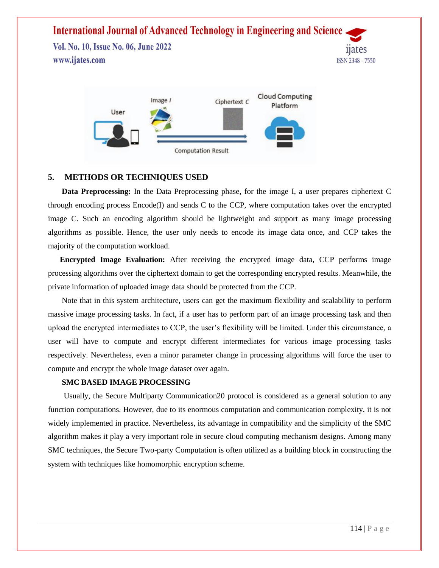Vol. No. 10, Issue No. 06, June 2022 www.ijates.com



### **5. METHODS OR TECHNIQUES USED**

 **Data Preprocessing:** In the Data Preprocessing phase, for the image I, a user prepares ciphertext C through encoding process Encode(I) and sends C to the CCP, where computation takes over the encrypted image C. Such an encoding algorithm should be lightweight and support as many image processing algorithms as possible. Hence, the user only needs to encode its image data once, and CCP takes the majority of the computation workload.

 **Encrypted Image Evaluation:** After receiving the encrypted image data, CCP performs image processing algorithms over the ciphertext domain to get the corresponding encrypted results. Meanwhile, the private information of uploaded image data should be protected from the CCP.

 Note that in this system architecture, users can get the maximum flexibility and scalability to perform massive image processing tasks. In fact, if a user has to perform part of an image processing task and then upload the encrypted intermediates to CCP, the user's flexibility will be limited. Under this circumstance, a user will have to compute and encrypt different intermediates for various image processing tasks respectively. Nevertheless, even a minor parameter change in processing algorithms will force the user to compute and encrypt the whole image dataset over again.

#### **SMC BASED IMAGE PROCESSING**

 Usually, the Secure Multiparty Communication20 protocol is considered as a general solution to any function computations. However, due to its enormous computation and communication complexity, it is not widely implemented in practice. Nevertheless, its advantage in compatibility and the simplicity of the SMC algorithm makes it play a very important role in secure cloud computing mechanism designs. Among many SMC techniques, the Secure Two-party Computation is often utilized as a building block in constructing the system with techniques like homomorphic encryption scheme.

ISSN 2348 - 7550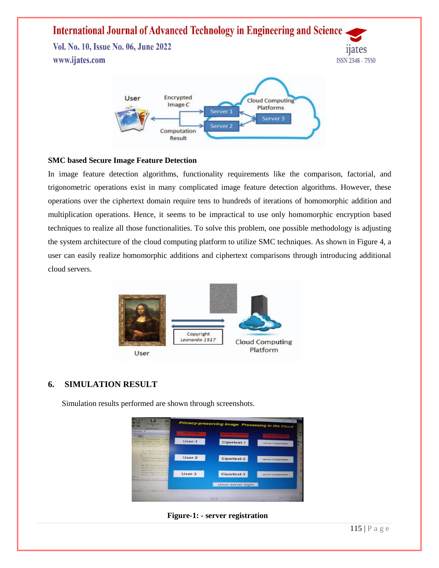# **International Journal of Advanced Technology in Engineering and Science** Vol. No. 10, Issue No. 06, June 2022 www.ijates.com ISSN 2348 - 7550



### **SMC based Secure Image Feature Detection**

In image feature detection algorithms, functionality requirements like the comparison, factorial, and trigonometric operations exist in many complicated image feature detection algorithms. However, these operations over the ciphertext domain require tens to hundreds of iterations of homomorphic addition and multiplication operations. Hence, it seems to be impractical to use only homomorphic encryption based techniques to realize all those functionalities. To solve this problem, one possible methodology is adjusting the system architecture of the cloud computing platform to utilize SMC techniques. As shown in Figure 4, a user can easily realize homomorphic additions and ciphertext comparisons through introducing additional cloud servers.



### **6. SIMULATION RESULT**

Simulation results performed are shown through screenshots.



### **Figure-1: - server registration**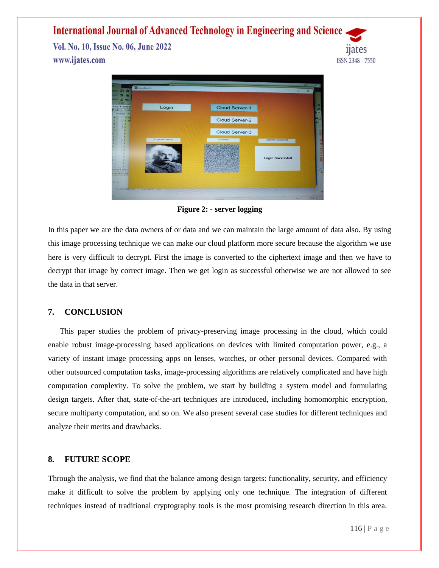Vol. No. 10, Issue No. 06, June 2022 www.ijates.com





**Figure 2: - server logging**

In this paper we are the data owners of or data and we can maintain the large amount of data also. By using this image processing technique we can make our cloud platform more secure because the algorithm we use here is very difficult to decrypt. First the image is converted to the ciphertext image and then we have to decrypt that image by correct image. Then we get login as successful otherwise we are not allowed to see the data in that server.

### **7. CONCLUSION**

 This paper studies the problem of privacy-preserving image processing in the cloud, which could enable robust image-processing based applications on devices with limited computation power, e.g., a variety of instant image processing apps on lenses, watches, or other personal devices. Compared with other outsourced computation tasks, image-processing algorithms are relatively complicated and have high computation complexity. To solve the problem, we start by building a system model and formulating design targets. After that, state-of-the-art techniques are introduced, including homomorphic encryption, secure multiparty computation, and so on. We also present several case studies for different techniques and analyze their merits and drawbacks.

### **8. FUTURE SCOPE**

Through the analysis, we find that the balance among design targets: functionality, security, and efficiency make it difficult to solve the problem by applying only one technique. The integration of different techniques instead of traditional cryptography tools is the most promising research direction in this area.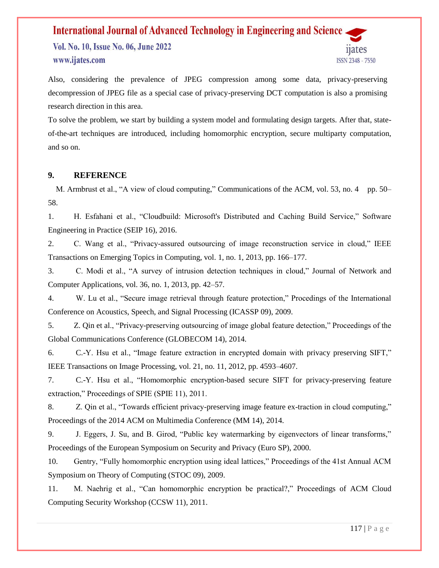Vol. No. 10, Issue No. 06, June 2022 www.ijates.com



Also, considering the prevalence of JPEG compression among some data, privacy-preserving decompression of JPEG file as a special case of privacy-preserving DCT computation is also a promising research direction in this area.

To solve the problem, we start by building a system model and formulating design targets. After that, stateof-the-art techniques are introduced, including homomorphic encryption, secure multiparty computation, and so on.

### **9. REFERENCE**

M. Armbrust et al., "A view of cloud computing," Communications of the ACM, vol. 53, no. 4 pp. 50– 58.

1. H. Esfahani et al., "Cloudbuild: Microsoft's Distributed and Caching Build Service," Software Engineering in Practice (SEIP 16), 2016.

2. C. Wang et al., "Privacy-assured outsourcing of image reconstruction service in cloud," IEEE Transactions on Emerging Topics in Computing, vol. 1, no. 1, 2013, pp. 166–177.

3. C. Modi et al., "A survey of intrusion detection techniques in cloud," Journal of Network and Computer Applications, vol. 36, no. 1, 2013, pp. 42–57.

4. W. Lu et al., "Secure image retrieval through feature protection," Procedings of the International Conference on Acoustics, Speech, and Signal Processing (ICASSP 09), 2009.

5. Z. Qin et al., "Privacy-preserving outsourcing of image global feature detection," Proceedings of the Global Communications Conference (GLOBECOM 14), 2014.

6. C.-Y. Hsu et al., "Image feature extraction in encrypted domain with privacy preserving SIFT," IEEE Transactions on Image Processing, vol. 21, no. 11, 2012, pp. 4593–4607.

7. C.-Y. Hsu et al., "Homomorphic encryption-based secure SIFT for privacy-preserving feature extraction," Proceedings of SPIE (SPIE 11), 2011.

8. Z. Qin et al., "Towards efficient privacy-preserving image feature ex-traction in cloud computing," Proceedings of the 2014 ACM on Multimedia Conference (MM 14), 2014.

9. J. Eggers, J. Su, and B. Girod, "Public key watermarking by eigenvectors of linear transforms," Proceedings of the European Symposium on Security and Privacy (Euro SP), 2000.

10. Gentry, "Fully homomorphic encryption using ideal lattices," Proceedings of the 41st Annual ACM Symposium on Theory of Computing (STOC 09), 2009.

11. M. Naehrig et al., "Can homomorphic encryption be practical?," Proceedings of ACM Cloud Computing Security Workshop (CCSW 11), 2011.